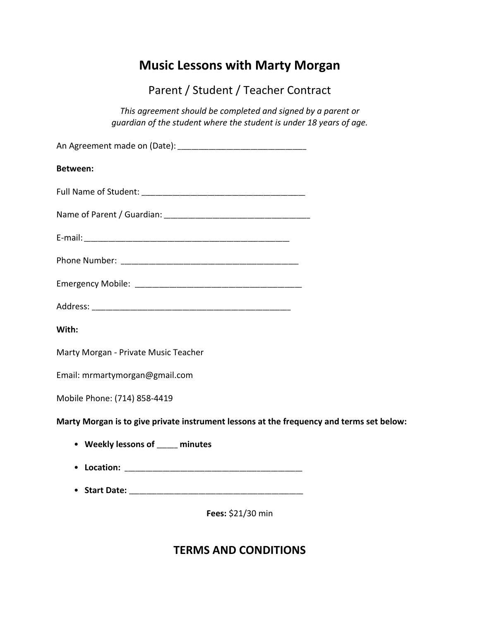# **Music Lessons with Marty Morgan**

Parent / Student / Teacher Contract

*This agreement should be completed and signed by a parent or guardian of the student where the student is under 18 years of age.*

| <b>Between:</b>                                                                          |
|------------------------------------------------------------------------------------------|
|                                                                                          |
|                                                                                          |
|                                                                                          |
|                                                                                          |
|                                                                                          |
|                                                                                          |
| With:                                                                                    |
| Marty Morgan - Private Music Teacher                                                     |
| Email: mrmartymorgan@gmail.com                                                           |
| Mobile Phone: (714) 858-4419                                                             |
| Marty Morgan is to give private instrument lessons at the frequency and terms set below: |
| • Weekly lessons of ____ minutes                                                         |
|                                                                                          |
|                                                                                          |
| Fees: \$21/30 min                                                                        |

## **TERMS AND CONDITIONS**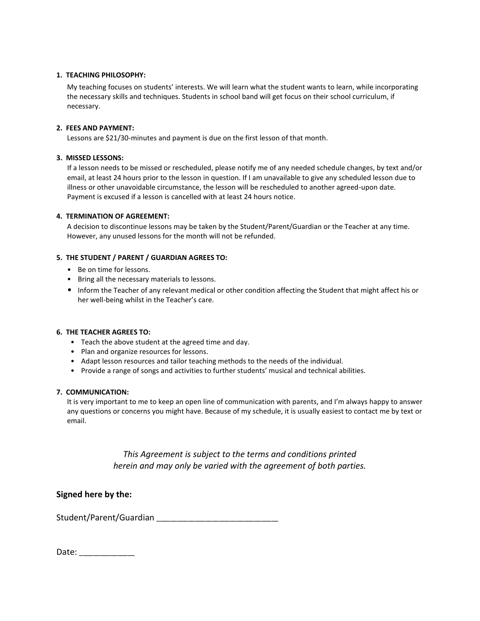#### **1. TEACHING PHILOSOPHY:**

My teaching focuses on students' interests. We will learn what the student wants to learn, while incorporating the necessary skills and techniques. Students in school band will get focus on their school curriculum, if necessary.

#### **2. FEES AND PAYMENT:**

Lessons are \$21/30-minutes and payment is due on the first lesson of that month.

#### **3. MISSED LESSONS:**

If a lesson needs to be missed or rescheduled, please notify me of any needed schedule changes, by text and/or email, at least 24 hours prior to the lesson in question. If I am unavailable to give any scheduled lesson due to illness or other unavoidable circumstance, the lesson will be rescheduled to another agreed-upon date. Payment is excused if a lesson is cancelled with at least 24 hours notice.

#### **4. TERMINATION OF AGREEMENT:**

A decision to discontinue lessons may be taken by the Student/Parent/Guardian or the Teacher at any time. However, any unused lessons for the month will not be refunded.

#### **5. THE STUDENT / PARENT / GUARDIAN AGREES TO:**

- Be on time for lessons.
- Bring all the necessary materials to lessons.
- Inform the Teacher of any relevant medical or other condition affecting the Student that might affect his or her well-being whilst in the Teacher's care.

#### **6. THE TEACHER AGREES TO:**

- Teach the above student at the agreed time and day.
- Plan and organize resources for lessons.
- Adapt lesson resources and tailor teaching methods to the needs of the individual.
- Provide a range of songs and activities to further students' musical and technical abilities.

### **7. COMMUNICATION:**

It is very important to me to keep an open line of communication with parents, and I'm always happy to answer any questions or concerns you might have. Because of my schedule, it is usually easiest to contact me by text or email.

> *This Agreement is subject to the terms and conditions printed herein and may only be varied with the agreement of both parties.*

**Signed here by the:**

Student/Parent/Guardian \_\_\_\_\_\_\_\_\_\_\_\_\_\_\_\_\_\_\_\_\_\_\_\_\_\_\_\_\_\_\_\_\_\_\_

Date: \_\_\_\_\_\_\_\_\_\_\_\_\_\_\_\_